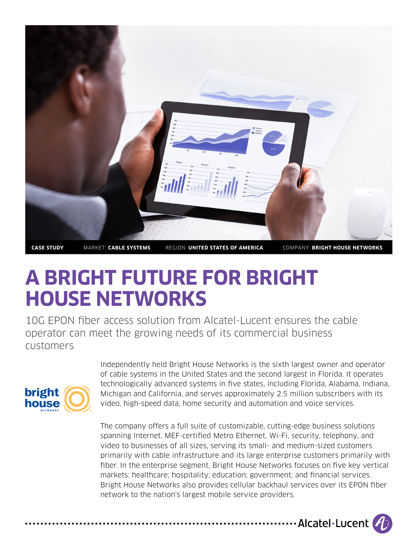

# **A Bright Future for Bright House Networks**

10G EPON fiber access solution from Alcatel-Lucent ensures the cable operator can meet the growing needs of its commercial business customers



Independently held Bright House Networks is the sixth largest owner and operator of cable systems in the United States and the second largest in Florida. It operates technologically advanced systems in five states, including Florida, Alabama, Indiana, Michigan and California, and serves approximately 2.5 million subscribers with its video, high-speed data, home security and automation and voice services.

The company offers a full suite of customizable, cutting-edge business solutions spanning Internet, MEF-certified Metro Ethernet, Wi-Fi, security, telephony, and video to businesses of all sizes, serving its small- and medium-sized customers primarily with cable infrastructure and its large enterprise customers primarily with fiber. In the enterprise segment, Bright House Networks focuses on five key vertical markets: healthcare; hospitality; education; government; and financial services. Bright House Networks also provides cellular backhaul services over its EPON fiber network to the nation's largest mobile service providers.

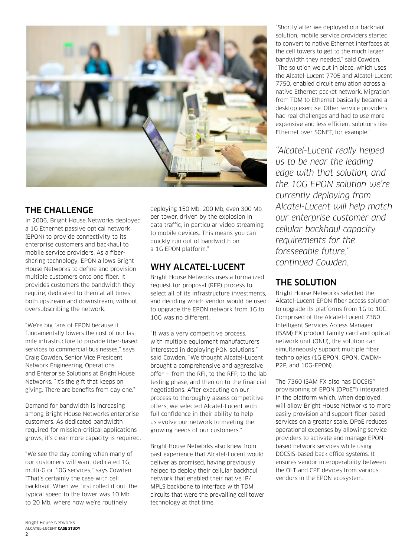

## The Challenge

In 2006, Bright House Networks deployed a 1G Ethernet passive optical network (EPON) to provide connectivity to its enterprise customers and backhaul to mobile service providers. As a fibersharing technology, EPON allows Bright House Networks to define and provision multiple customers onto one fiber. It provides customers the bandwidth they require, dedicated to them at all times, both upstream and downstream, without oversubscribing the network.

"We're big fans of EPON because it fundamentally lowers the cost of our last mile infrastructure to provide fiber-based services to commercial businesses," says Craig Cowden, Senior Vice President, Network Engineering, Operations and Enterprise Solutions at Bright House Networks. "It's the gift that keeps on giving. There are benefits from day one."

Demand for bandwidth is increasing among Bright House Networks enterprise customers. As dedicated bandwidth required for mission-critical applications grows, it's clear more capacity is required.

"We see the day coming when many of our customers will want dedicated 1G, multi-G or 10G services," says Cowden. "That's certainly the case with cell backhaul. When we first rolled it out, the typical speed to the tower was 10 Mb to 20 Mb, where now we're routinely

deploying 150 Mb, 200 Mb, even 300 Mb per tower, driven by the explosion in data traffic, in particular video streaming to mobile devices. This means you can quickly run out of bandwidth on a 1G EPON platform."

## Why Alcatel-Lucent

Bright House Networks uses a formalized request for proposal (RFP) process to select all of its infrastructure investments, and deciding which vendor would be used to upgrade the EPON network from 1G to 10G was no different.

"It was a very competitive process, with multiple equipment manufacturers interested in deploying PON solutions," said Cowden. "We thought Alcatel-Lucent brought a comprehensive and aggressive offer — from the RFI, to the RFP, to the lab testing phase, and then on to the financial negotiations. After executing on our process to thoroughly assess competitive offers, we selected Alcatel-Lucent with full confidence in their ability to help us evolve our network to meeting the growing needs of our customers."

Bright House Networks also knew from past experience that Alcatel-Lucent would deliver as promised, having previously helped to deploy their cellular backhaul network that enabled their native IP/ MPLS backbone to interface with TDM circuits that were the prevailing cell tower technology at that time.

"Shortly after we deployed our backhaul solution, mobile service providers started to convert to native Ethernet interfaces at the cell towers to get to the much larger bandwidth they needed," said Cowden. "The solution we put in place, which uses the Alcatel-Lucent 7705 and Alcatel-Lucent 7750, enabled circuit emulation across a native Ethernet packet network. Migration from TDM to Ethernet basically became a desktop exercise. Other service providers had real challenges and had to use more expensive and less efficient solutions like Ethernet over SONET, for example."

*"Alcatel-Lucent really helped us to be near the leading edge with that solution, and the 10G EPON solution we're currently deploying from Alcatel-Lucent will help match our enterprise customer and cellular backhaul capacity requirements for the foreseeable future," continued Cowden.*

# The Solution

Bright House Networks selected the Alcatel-Lucent EPON fiber access solution to upgrade its platforms from 1G to 10G. Comprised of the Alcatel-Lucent 7360 Intelligent Services Access Manager (ISAM) FX product family card and optical network unit (ONU), the solution can simultaneously support multiple fiber technologies (1G EPON, GPON, CWDM-P2P, and 10G-EPON).

The 7360 ISAM FX also has DOCSIS® provisioning of EPON (DPoE™) integrated in the platform which, when deployed, will allow Bright House Networks to more easily provision and support fiber-based services on a greater scale. DPoE reduces operational expenses by allowing service providers to activate and manage EPONbased network services while using DOCSIS-based back office systems. It ensures vendor interoperability between the OLT and CPE devices from various vendors in the EPON ecosystem.